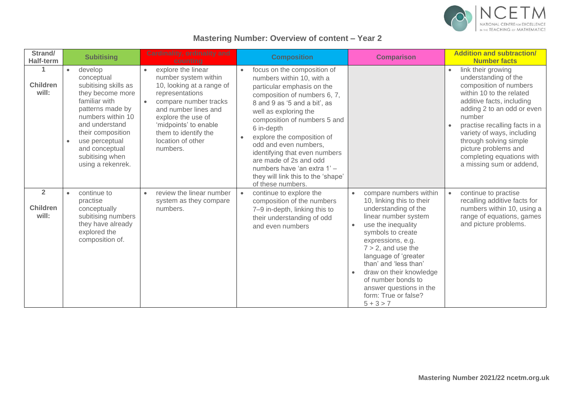

## **Mastering Number: Overview of content – Year 2**

| Strand/<br><b>Half-term</b>                | <b>Subitising</b>                                                                                                                                                                                                                                                        | <b>Cardinality, ordinality and</b><br>counting                                                                                                                                                                                                                   | <b>Composition</b>                                                                                                                                                                                                                                                                                                                                                                                                                                                  | <b>Comparison</b>                                                                                                                                                                                                                                                                                                                                                | <b>Addition and subtraction/</b><br><b>Number facts</b>                                                                                                                                                                                                                                                                                         |
|--------------------------------------------|--------------------------------------------------------------------------------------------------------------------------------------------------------------------------------------------------------------------------------------------------------------------------|------------------------------------------------------------------------------------------------------------------------------------------------------------------------------------------------------------------------------------------------------------------|---------------------------------------------------------------------------------------------------------------------------------------------------------------------------------------------------------------------------------------------------------------------------------------------------------------------------------------------------------------------------------------------------------------------------------------------------------------------|------------------------------------------------------------------------------------------------------------------------------------------------------------------------------------------------------------------------------------------------------------------------------------------------------------------------------------------------------------------|-------------------------------------------------------------------------------------------------------------------------------------------------------------------------------------------------------------------------------------------------------------------------------------------------------------------------------------------------|
| <b>Children</b><br>will:                   | develop<br>$\bullet$<br>conceptual<br>subitising skills as<br>they become more<br>familiar with<br>patterns made by<br>numbers within 10<br>and understand<br>their composition<br>use perceptual<br>$\bullet$<br>and conceptual<br>subitising when<br>using a rekenrek. | explore the linear<br>$\bullet$<br>number system within<br>10, looking at a range of<br>representations<br>compare number tracks<br>and number lines and<br>explore the use of<br>'midpoints' to enable<br>them to identify the<br>location of other<br>numbers. | focus on the composition of<br>$\bullet$<br>numbers within 10, with a<br>particular emphasis on the<br>composition of numbers 6, 7,<br>8 and 9 as '5 and a bit', as<br>well as exploring the<br>composition of numbers 5 and<br>6 in-depth<br>explore the composition of<br>$\bullet$<br>odd and even numbers,<br>identifying that even numbers<br>are made of 2s and odd<br>numbers have 'an extra 1' -<br>they will link this to the 'shape'<br>of these numbers. |                                                                                                                                                                                                                                                                                                                                                                  | link their growing<br>understanding of the<br>composition of numbers<br>within 10 to the related<br>additive facts, including<br>adding 2 to an odd or even<br>number<br>practise recalling facts in a<br>variety of ways, including<br>through solving simple<br>picture problems and<br>completing equations with<br>a missing sum or addend, |
| $\overline{2}$<br><b>Children</b><br>will: | continue to<br>$\bullet$<br>practise<br>conceptually<br>subitising numbers<br>they have already<br>explored the<br>composition of.                                                                                                                                       | review the linear number<br>$\bullet$<br>system as they compare<br>numbers.                                                                                                                                                                                      | continue to explore the<br>$\bullet$<br>composition of the numbers<br>7-9 in-depth, linking this to<br>their understanding of odd<br>and even numbers                                                                                                                                                                                                                                                                                                               | compare numbers within<br>10, linking this to their<br>understanding of the<br>linear number system<br>use the inequality<br>symbols to create<br>expressions, e.g.<br>$7 > 2$ , and use the<br>language of 'greater<br>than' and 'less than'<br>draw on their knowledge<br>of number bonds to<br>answer questions in the<br>form: True or false?<br>$5 + 3 > 7$ | continue to practise<br>$\bullet$<br>recalling additive facts for<br>numbers within 10, using a<br>range of equations, games<br>and picture problems.                                                                                                                                                                                           |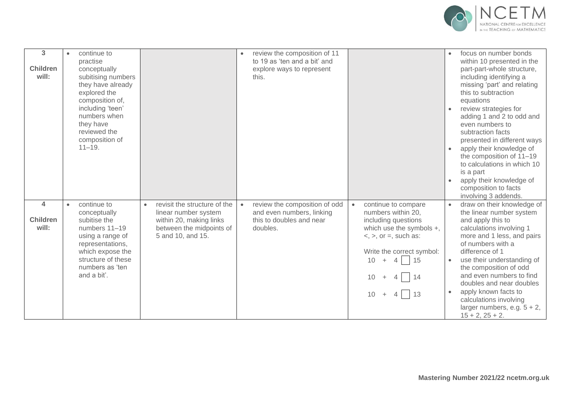

| 3<br><b>Children</b><br>will:                       | continue to<br>$\bullet$<br>practise<br>conceptually<br>subitising numbers<br>they have already<br>explored the<br>composition of,<br>including 'teen'<br>numbers when<br>they have<br>reviewed the<br>composition of<br>$11 - 19.$ |                                                                                                                                               | review the composition of 11<br>to 19 as 'ten and a bit' and<br>explore ways to represent<br>this.              |                                                                                                                                                                                                                                               | focus on number bonds<br>within 10 presented in the<br>part-part-whole structure,<br>including identifying a<br>missing 'part' and relating<br>this to subtraction<br>equations<br>review strategies for<br>adding 1 and 2 to odd and<br>even numbers to<br>subtraction facts<br>presented in different ways<br>apply their knowledge of<br>the composition of 11-19<br>to calculations in which 10<br>is a part<br>apply their knowledge of<br>composition to facts<br>involving 3 addends. |
|-----------------------------------------------------|-------------------------------------------------------------------------------------------------------------------------------------------------------------------------------------------------------------------------------------|-----------------------------------------------------------------------------------------------------------------------------------------------|-----------------------------------------------------------------------------------------------------------------|-----------------------------------------------------------------------------------------------------------------------------------------------------------------------------------------------------------------------------------------------|----------------------------------------------------------------------------------------------------------------------------------------------------------------------------------------------------------------------------------------------------------------------------------------------------------------------------------------------------------------------------------------------------------------------------------------------------------------------------------------------|
| $\overline{\mathbf{4}}$<br><b>Children</b><br>will: | continue to<br>$\bullet$<br>conceptually<br>subitise the<br>numbers 11-19<br>using a range of<br>representations,<br>which expose the<br>structure of these<br>numbers as 'ten<br>and a bit'.                                       | revisit the structure of the<br>$\bullet$<br>linear number system<br>within 20, making links<br>between the midpoints of<br>5 and 10, and 15. | review the composition of odd<br>$\bullet$<br>and even numbers, linking<br>this to doubles and near<br>doubles. | continue to compare<br>$\bullet$<br>numbers within 20,<br>including questions<br>which use the symbols +,<br>$\langle$ , $\rangle$ , or =, such as:<br>Write the correct symbol:<br>10 <sup>°</sup><br>4115<br>$+$<br>$+ 4 14$<br>$10 + 4$ 13 | draw on their knowledge of<br>the linear number system<br>and apply this to<br>calculations involving 1<br>more and 1 less, and pairs<br>of numbers with a<br>difference of 1<br>use their understanding of<br>$\bullet$<br>the composition of odd<br>and even numbers to find<br>doubles and near doubles<br>apply known facts to<br>calculations involving<br>larger numbers, e.g. $5 + 2$ ,<br>$15 + 2$ , $25 + 2$ .                                                                      |